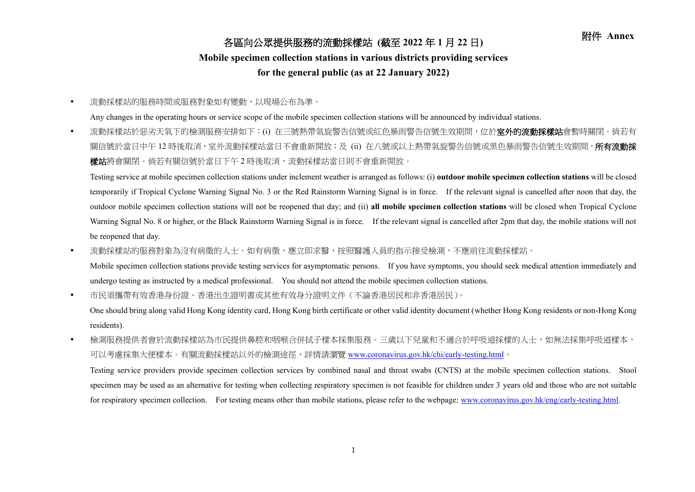## 附件 **Annex** 各區向公眾提供服務的流動採樣站 **(**截至 **<sup>2022</sup>** <sup>年</sup> **<sup>1</sup>** <sup>月</sup> **<sup>22</sup>** <sup>日</sup>**)**

## **Mobile specimen collection stations in various districts providing services**

## **for the general public (as at 22 January 2022)**

流動採樣站的服務時間或服務對象如有變動,以現場公布為準。

Any changes in the operating hours or service scope of the mobile specimen collection stations will be announced by individual stations.

• 流動採樣站於惡劣天氣下的檢測服務安排如下:(i) 在三號熱帶氣旋警告信號或紅色暴雨警告信號生效期間,位於**室外的流動採樣站**會暫時關閉。倘若有 關信號於當日中午 12 時後取消,室外流動採樣站當日不會重新開放;及 (ii) 在八號或以上熱帶氣旋警告信號或黑色暴雨警告信號生效期間,**所有流動採** 樣站將會關閉。倘若有關信號於當日下午 2 時後取消,流動採樣站當日則不會重新開放。

Testing service at mobile specimen collection stations under inclement weather is arranged as follows: (i) **outdoor mobile specimen collection stations** will be closed temporarily if Tropical Cyclone Warning Signal No. 3 or the Red Rainstorm Warning Signal is in force. If the relevant signal is cancelled after noon that day, the outdoor mobile specimen collection stations will not be reopened that day; and (ii) **all mobile specimen collection stations** will be closed when Tropical Cyclone Warning Signal No. 8 or higher, or the Black Rainstorm Warning Signal is in force. If the relevant signal is cancelled after 2pm that day, the mobile stations will not be reopened that day.

• 流動採樣站的服務對象為沒有病徵的人士。如有病徵,應立即求醫,按照醫護人員的指示接受檢測,不應前往流動採樣站。

Mobile specimen collection stations provide testing services for asymptomatic persons. If you have symptoms, you should seek medical attention immediately and undergo testing as instructed by a medical professional. You should not attend the mobile specimen collection stations.

市民須攜帶有效香港身份證、香港出生證明書或其他有效身分證明文件(不論香港居民和非香港居民)。

One should bring along valid Hong Kong identity card, Hong Kong birth certificate or other valid identity document (whether Hong Kong residents or non-Hong Kong residents).

• 檢測服務提供者會於流動採樣站為市民提供鼻腔和咽喉合併拭子樣本採集服務。三歲以下兒童和不適合於呼吸道採樣的人士,如無法採集呼吸道樣本, 可以考慮採集大便樣本。有關流動採樣站以外的檢測途徑,詳情請瀏覽 [www.coronavirus.gov.hk/chi/early-testing.html](http://www.coronavirus.gov.hk/chi/early-testing.html)。

Testing service providers provide specimen collection services by combined nasal and throat swabs (CNTS) at the mobile specimen collection stations. Stool specimen may be used as an alternative for testing when collecting respiratory specimen is not feasible for children under 3 years old and those who are not suitable for respiratory specimen collection. For testing means other than mobile stations, please refer to the webpage: [www.coronavirus.gov.hk/eng/early-testing.html.](http://www.coronavirus.gov.hk/eng/early-testing.html)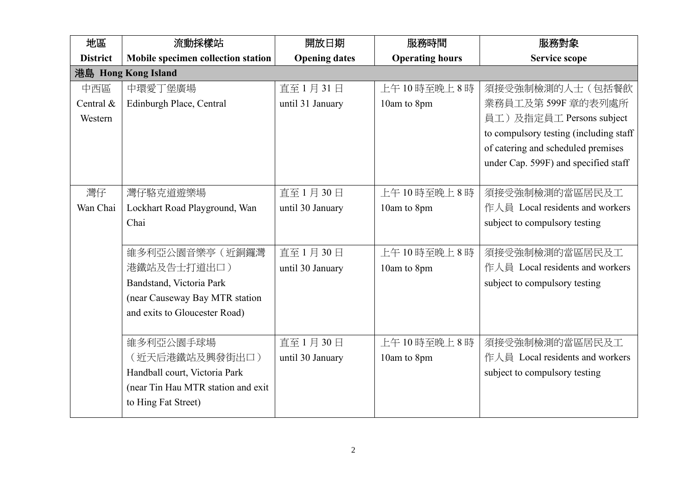| 地區              | 流動採樣站                              | 開放日期                 | 服務時間                   | 服務對象                                   |
|-----------------|------------------------------------|----------------------|------------------------|----------------------------------------|
| <b>District</b> | Mobile specimen collection station | <b>Opening dates</b> | <b>Operating hours</b> | Service scope                          |
|                 | 港島 Hong Kong Island                |                      |                        |                                        |
| 中西區             | 中環愛丁堡廣場                            | 直至1月31日              | 上午10時至晚上8時             | 須接受強制檢測的人士(包括餐飲                        |
| Central &       | Edinburgh Place, Central           | until 31 January     | 10am to 8pm            | 業務員工及第599F 章的表列處所                      |
| Western         |                                    |                      |                        | 員工)及指定員工 Persons subject               |
|                 |                                    |                      |                        | to compulsory testing (including staff |
|                 |                                    |                      |                        | of catering and scheduled premises     |
|                 |                                    |                      |                        | under Cap. 599F) and specified staff   |
|                 |                                    |                      |                        |                                        |
| 灣仔              | 灣仔駱克道遊樂場                           | 直至1月30日              | 上午10時至晚上8時             | 須接受強制檢測的當區居民及工                         |
| Wan Chai        | Lockhart Road Playground, Wan      | until 30 January     | 10am to 8pm            | 作人員 Local residents and workers        |
|                 | Chai                               |                      |                        | subject to compulsory testing          |
|                 |                                    |                      |                        |                                        |
|                 | 維多利亞公園音樂亭(近銅鑼灣                     | 直至1月30日              | 上午10時至晚上8時             | 須接受強制檢測的當區居民及工                         |
|                 | 港鐵站及告士打道出口)                        | until 30 January     | 10am to 8pm            | 作人員 Local residents and workers        |
|                 | Bandstand, Victoria Park           |                      |                        | subject to compulsory testing          |
|                 | (near Causeway Bay MTR station     |                      |                        |                                        |
|                 | and exits to Gloucester Road)      |                      |                        |                                        |
|                 |                                    |                      |                        |                                        |
|                 | 維多利亞公園手球場                          | 直至1月30日              | 上午10時至晚上8時             | 須接受強制檢測的當區居民及工                         |
|                 | (近天后港鐵站及興發街出口)                     | until 30 January     | 10am to 8pm            | 作人員 Local residents and workers        |
|                 | Handball court, Victoria Park      |                      |                        | subject to compulsory testing          |
|                 | (near Tin Hau MTR station and exit |                      |                        |                                        |
|                 | to Hing Fat Street)                |                      |                        |                                        |
|                 |                                    |                      |                        |                                        |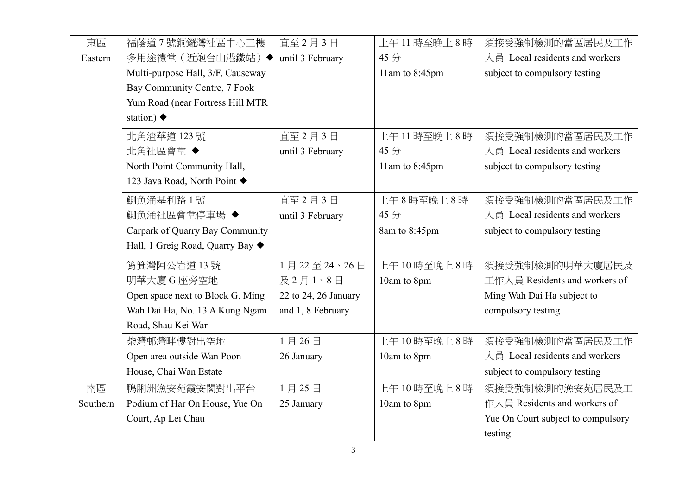| 東區       | 福蔭道7號銅鑼灣社區中心三樓                    | 直至2月3日               | 上午11時至晚上8時     | 須接受強制檢測的當區居民及工作                    |
|----------|-----------------------------------|----------------------|----------------|------------------------------------|
| Eastern  | 多用途禮堂(近炮台山港鐵站)◆                   | until 3 February     | 45分            | 人員 Local residents and workers     |
|          | Multi-purpose Hall, 3/F, Causeway |                      | 11am to 8:45pm | subject to compulsory testing      |
|          | Bay Community Centre, 7 Fook      |                      |                |                                    |
|          | Yum Road (near Fortress Hill MTR  |                      |                |                                    |
|          | station) $\blacklozenge$          |                      |                |                                    |
|          | 北角渣華道 123號                        | 直至2月3日               | 上午11時至晚上8時     | 須接受強制檢測的當區居民及工作                    |
|          | 北角社區會堂◆                           | until 3 February     | 45分            | 人員 Local residents and workers     |
|          | North Point Community Hall,       |                      | 11am to 8:45pm | subject to compulsory testing      |
|          | 123 Java Road, North Point ♦      |                      |                |                                    |
|          | 鰂魚涌基利路1號                          | 直至2月3日               | 上午8時至晚上8時      | 須接受強制檢測的當區居民及工作                    |
|          | 鰂魚涌社區會堂停車場 ◆                      | until 3 February     | 45分            | 人員 Local residents and workers     |
|          | Carpark of Quarry Bay Community   |                      | 8am to 8:45pm  | subject to compulsory testing      |
|          | Hall, 1 Greig Road, Quarry Bay ♦  |                      |                |                                    |
|          | 筲箕灣阿公岩道13號                        | 1月22至24、26日          | 上午10時至晚上8時     | 須接受強制檢測的明華大廈居民及                    |
|          | 明華大廈G座旁空地                         | 及2月1、8日              | 10am to 8pm    | 工作人員 Residents and workers of      |
|          | Open space next to Block G, Ming  | 22 to 24, 26 January |                | Ming Wah Dai Ha subject to         |
|          | Wah Dai Ha, No. 13 A Kung Ngam    | and 1, 8 February    |                | compulsory testing                 |
|          | Road, Shau Kei Wan                |                      |                |                                    |
|          | 柴灣邨灣畔樓對出空地                        | 1月26日                | 上午10時至晚上8時     | 須接受強制檢測的當區居民及工作                    |
|          | Open area outside Wan Poon        | 26 January           | 10am to 8pm    | 人員 Local residents and workers     |
|          | House, Chai Wan Estate            |                      |                | subject to compulsory testing      |
| 南區       | 鴨脷洲漁安苑霞安閣對出平台                     | 1月25日                | 上午10時至晚上8時     | 須接受強制檢測的漁安苑居民及工                    |
| Southern | Podium of Har On House, Yue On    | 25 January           | 10am to 8pm    | 作人員 Residents and workers of       |
|          | Court, Ap Lei Chau                |                      |                | Yue On Court subject to compulsory |
|          |                                   |                      |                | testing                            |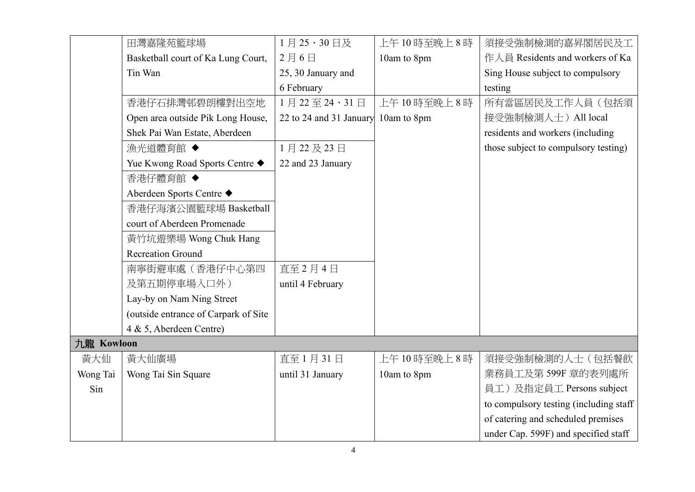|            | 田灣嘉隆苑籃球場                             | 1月25、30日及                           | 上午10時至晚上8時  | 須接受強制檢測的嘉昇閣居民及工                        |
|------------|--------------------------------------|-------------------------------------|-------------|----------------------------------------|
|            | Basketball court of Ka Lung Court,   | 2月6日                                | 10am to 8pm | 作人員 Residents and workers of Ka        |
|            | Tin Wan                              | 25, 30 January and                  |             | Sing House subject to compulsory       |
|            |                                      | 6 February                          |             | testing                                |
|            | 香港仔石排灣邨碧朗樓對出空地                       | 1月22至24、31日                         | 上午10時至晚上8時  | 所有當區居民及工作人員(包括須                        |
|            | Open area outside Pik Long House,    | 22 to 24 and 31 January 10am to 8pm |             | 接受強制檢測人士) All local                    |
|            | Shek Pai Wan Estate, Aberdeen        |                                     |             | residents and workers (including       |
|            | 漁光道體育館 ◆                             | 1月22及23日                            |             | those subject to compulsory testing)   |
|            | Yue Kwong Road Sports Centre ◆       | 22 and 23 January                   |             |                                        |
|            | 香港仔體育館 ◆                             |                                     |             |                                        |
|            | Aberdeen Sports Centre ◆             |                                     |             |                                        |
|            | 香港仔海濱公園籃球場 Basketball                |                                     |             |                                        |
|            | court of Aberdeen Promenade          |                                     |             |                                        |
|            | 黃竹坑遊樂場 Wong Chuk Hang                |                                     |             |                                        |
|            | <b>Recreation Ground</b>             |                                     |             |                                        |
|            | 南寧街避車處(香港仔中心第四                       | 直至2月4日                              |             |                                        |
|            | 及第五期停車場入口外)                          | until 4 February                    |             |                                        |
|            | Lay-by on Nam Ning Street            |                                     |             |                                        |
|            | (outside entrance of Carpark of Site |                                     |             |                                        |
|            | 4 & 5, Aberdeen Centre)              |                                     |             |                                        |
| 九龍 Kowloon |                                      |                                     |             |                                        |
| 黃大仙        | 黃大仙廣場                                | 直至1月31日                             | 上午10時至晚上8時  | 須接受強制檢測的人士(包括餐飲                        |
| Wong Tai   | Wong Tai Sin Square                  | until 31 January                    | 10am to 8pm | 業務員工及第599F 章的表列處所                      |
| Sin        |                                      |                                     |             | 員工)及指定員工 Persons subject               |
|            |                                      |                                     |             | to compulsory testing (including staff |
|            |                                      |                                     |             | of catering and scheduled premises     |
|            |                                      |                                     |             | under Cap. 599F) and specified staff   |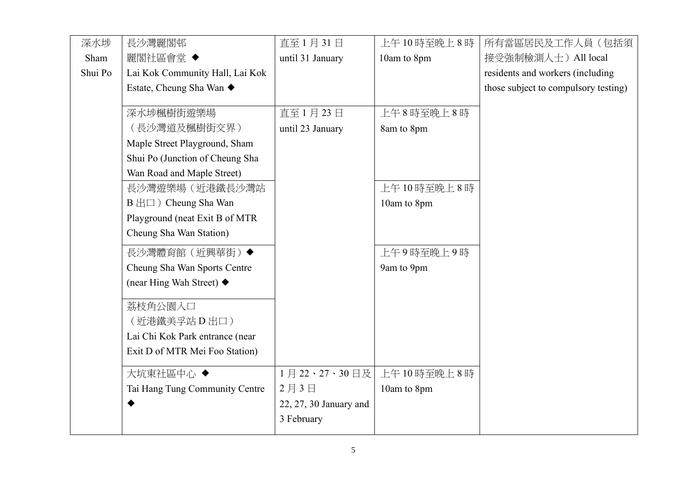| 深水埗     | 長沙灣麗閣邨                          | 直至1月31日                | 上午10時至晚上8時  | 所有當區居民及工作人員(包括須                      |
|---------|---------------------------------|------------------------|-------------|--------------------------------------|
| Sham    | 麗閣社區會堂 ◆                        | until 31 January       | 10am to 8pm | 接受強制檢測人士) All local                  |
| Shui Po | Lai Kok Community Hall, Lai Kok |                        |             | residents and workers (including     |
|         | Estate, Cheung Sha Wan ◆        |                        |             | those subject to compulsory testing) |
|         |                                 |                        |             |                                      |
|         | 深水埗楓樹街遊樂場                       | 直至1月23日                | 上午8時至晚上8時   |                                      |
|         | (長沙灣道及楓樹街交界)                    | until 23 January       | 8am to 8pm  |                                      |
|         | Maple Street Playground, Sham   |                        |             |                                      |
|         | Shui Po (Junction of Cheung Sha |                        |             |                                      |
|         | Wan Road and Maple Street)      |                        |             |                                      |
|         | 長沙灣遊樂場(近港鐵長沙灣站                  |                        | 上午10時至晚上8時  |                                      |
|         | B 出口) Cheung Sha Wan            |                        | 10am to 8pm |                                      |
|         | Playground (neat Exit B of MTR  |                        |             |                                      |
|         | Cheung Sha Wan Station)         |                        |             |                                      |
|         | 長沙灣體育館(近興華街)◆                   |                        | 上午9時至晚上9時   |                                      |
|         | Cheung Sha Wan Sports Centre    |                        | 9am to 9pm  |                                      |
|         | (near Hing Wah Street) ◆        |                        |             |                                      |
|         | 荔枝角公園入口                         |                        |             |                                      |
|         | (近港鐵美孚站 D 出口)                   |                        |             |                                      |
|         | Lai Chi Kok Park entrance (near |                        |             |                                      |
|         | Exit D of MTR Mei Foo Station)  |                        |             |                                      |
|         |                                 |                        |             |                                      |
|         | 大坑東社區中心◆                        | 1月22、27、30日及           | 上午10時至晚上8時  |                                      |
|         | Tai Hang Tung Community Centre  | 2月3日                   | 10am to 8pm |                                      |
|         |                                 | 22, 27, 30 January and |             |                                      |
|         |                                 | 3 February             |             |                                      |
|         |                                 |                        |             |                                      |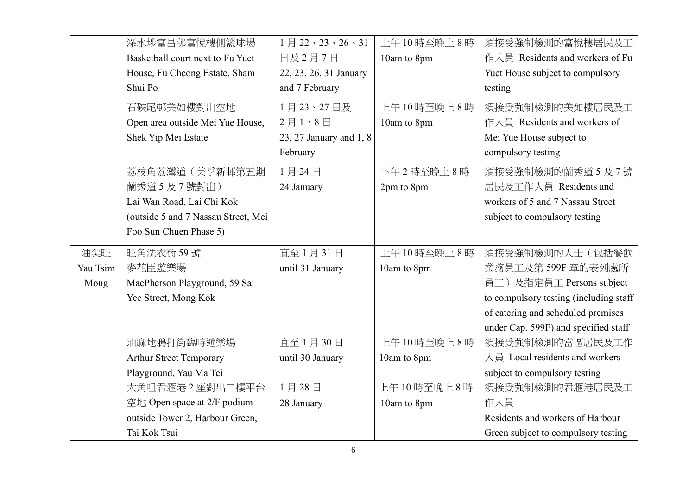|          | 深水埗富昌邨富悅樓側籃球場                       | $1 \n\boxplus 22 \cdot 23 \cdot 26 \cdot 31$ | 上午10時至晚上8時  | 須接受強制檢測的富悅樓居民及工                        |
|----------|-------------------------------------|----------------------------------------------|-------------|----------------------------------------|
|          | Basketball court next to Fu Yuet    | 日及2月7日                                       | 10am to 8pm | 作人員 Residents and workers of Fu        |
|          | House, Fu Cheong Estate, Sham       | 22, 23, 26, 31 January                       |             | Yuet House subject to compulsory       |
|          | Shui Po                             | and 7 February                               |             | testing                                |
|          | 石硤尾邨美如樓對出空地                         | 1月23、27日及                                    | 上午10時至晚上8時  | 須接受強制檢測的美如樓居民及工                        |
|          | Open area outside Mei Yue House,    | $2$ 月 $1 \cdot 8$ 日                          | 10am to 8pm | 作人員 Residents and workers of           |
|          | Shek Yip Mei Estate                 | 23, 27 January and 1, 8                      |             | Mei Yue House subject to               |
|          |                                     | February                                     |             | compulsory testing                     |
|          | 荔枝角荔灣道(美孚新邨第五期                      | 1月24日                                        | 下午2時至晚上8時   | 須接受強制檢測的蘭秀道5及7號                        |
|          | 蘭秀道5及7號對出)                          | 24 January                                   | 2pm to 8pm  | 居民及工作人員 Residents and                  |
|          | Lai Wan Road, Lai Chi Kok           |                                              |             | workers of 5 and 7 Nassau Street       |
|          | (outside 5 and 7 Nassau Street, Mei |                                              |             | subject to compulsory testing          |
|          | Foo Sun Chuen Phase 5)              |                                              |             |                                        |
| 油尖旺      | 旺角洗衣街59號                            | 直至1月31日                                      | 上午10時至晚上8時  | 須接受強制檢測的人士(包括餐飲                        |
| Yau Tsim | 麥花臣遊樂場                              | until 31 January                             | 10am to 8pm | 業務員工及第599F 章的表列處所                      |
| Mong     | MacPherson Playground, 59 Sai       |                                              |             | 員工)及指定員工 Persons subject               |
|          | Yee Street, Mong Kok                |                                              |             | to compulsory testing (including staff |
|          |                                     |                                              |             | of catering and scheduled premises     |
|          |                                     |                                              |             | under Cap. 599F) and specified staff   |
|          | 油麻地鴉打街臨時遊樂場                         | 直至1月30日                                      | 上午10時至晚上8時  | 須接受強制檢測的當區居民及工作                        |
|          | <b>Arthur Street Temporary</b>      | until 30 January                             | 10am to 8pm | 人員 Local residents and workers         |
|          | Playground, Yau Ma Tei              |                                              |             | subject to compulsory testing          |
|          | 大角咀君滙港2座對出二樓平台                      | 1月28日                                        | 上午10時至晚上8時  | 須接受強制檢測的君滙港居民及工                        |
|          | 空地 Open space at 2/F podium         | 28 January                                   | 10am to 8pm | 作人員                                    |
|          | outside Tower 2, Harbour Green,     |                                              |             | Residents and workers of Harbour       |
|          | Tai Kok Tsui                        |                                              |             | Green subject to compulsory testing    |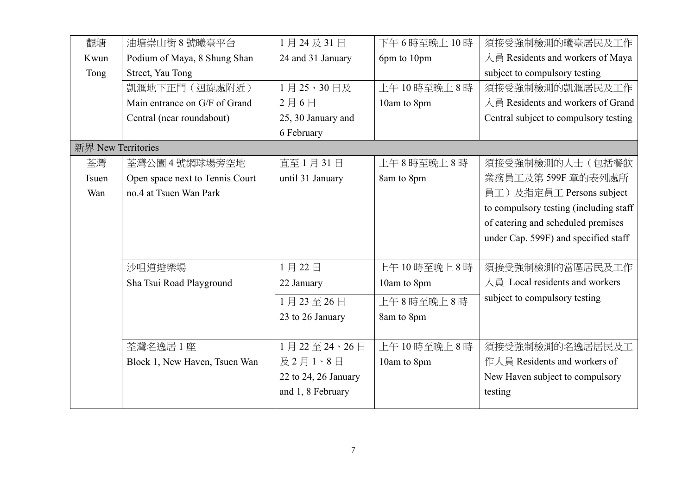| 觀塘                 | 油塘崇山街 8號曦臺平台                    | 1月24及31日             | 下午6時至晚上10時  | 須接受強制檢測的曦臺居民及工作                         |
|--------------------|---------------------------------|----------------------|-------------|-----------------------------------------|
| Kwun               | Podium of Maya, 8 Shung Shan    | 24 and 31 January    | 6pm to 10pm | 人員 Residents and workers of Maya        |
| Tong               | Street, Yau Tong                |                      |             | subject to compulsory testing           |
|                    | 凱滙地下正門 (迴旋處附近)                  | 1月25、30日及            | 上午10時至晚上8時  | 須接受強制檢測的凱滙居民及工作                         |
|                    | Main entrance on G/F of Grand   | 2月6日                 | 10am to 8pm | 人員 Residents and workers of Grand       |
|                    | Central (near roundabout)       | 25, 30 January and   |             | Central subject to compulsory testing   |
|                    |                                 | 6 February           |             |                                         |
| 新界 New Territories |                                 |                      |             |                                         |
| 荃灣                 | 荃灣公園4號網球場旁空地                    | 直至1月31日              | 上午8時至晚上8時   | 須接受強制檢測的人士(包括餐飲                         |
| Tsuen              | Open space next to Tennis Court | until 31 January     | 8am to 8pm  | 業務員工及第599F 章的表列處所                       |
| Wan                | no.4 at Tsuen Wan Park          |                      |             | 員工)及指定員工 Persons subject                |
|                    |                                 |                      |             | to compulsory testing (including staff) |
|                    |                                 |                      |             | of catering and scheduled premises      |
|                    |                                 |                      |             | under Cap. 599F) and specified staff    |
|                    |                                 |                      |             |                                         |
|                    | 沙咀道遊樂場                          | 1月22日                | 上午10時至晚上8時  | 須接受強制檢測的當區居民及工作                         |
|                    | Sha Tsui Road Playground        | 22 January           | 10am to 8pm | 人員 Local residents and workers          |
|                    |                                 | 1月23至26日             | 上午8時至晚上8時   | subject to compulsory testing           |
|                    |                                 | 23 to 26 January     | 8am to 8pm  |                                         |
|                    |                                 |                      |             |                                         |
|                    | 荃灣名逸居1座                         | 1月22至24、26日          | 上午10時至晚上8時  | 須接受強制檢測的名逸居居民及工                         |
|                    | Block 1, New Haven, Tsuen Wan   | 及2月1、8日              | 10am to 8pm | 作人員 Residents and workers of            |
|                    |                                 | 22 to 24, 26 January |             | New Haven subject to compulsory         |
|                    |                                 | and 1, 8 February    |             | testing                                 |
|                    |                                 |                      |             |                                         |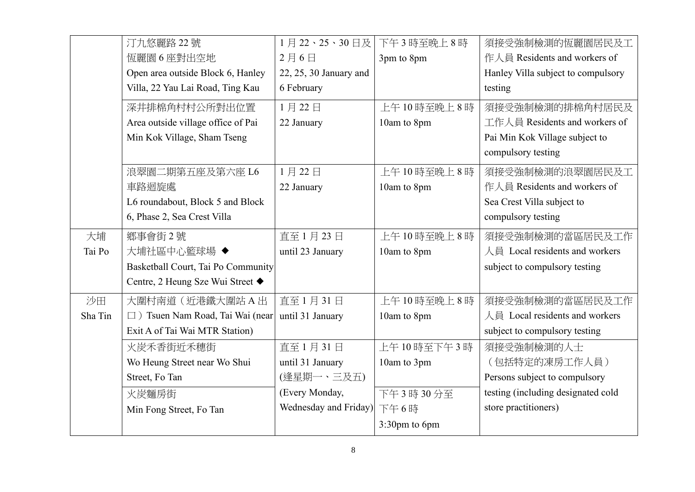|         | 汀九悠麗路 22號                          | 1月22、25、30日及           | 下午3時至晚上8時     | 須接受強制檢測的恆麗園居民及工                    |
|---------|------------------------------------|------------------------|---------------|------------------------------------|
|         | 恆麗園6座對出空地                          | 2月6日                   | 3pm to 8pm    | 作人員 Residents and workers of       |
|         | Open area outside Block 6, Hanley  | 22, 25, 30 January and |               | Hanley Villa subject to compulsory |
|         | Villa, 22 Yau Lai Road, Ting Kau   | 6 February             |               | testing                            |
|         | 深井排棉角村村公所對出位置                      | 1月22日                  | 上午10時至晚上8時    | 須接受強制檢測的排棉角村居民及                    |
|         | Area outside village office of Pai | 22 January             | 10am to 8pm   | 工作人員 Residents and workers of      |
|         | Min Kok Village, Sham Tseng        |                        |               | Pai Min Kok Village subject to     |
|         |                                    |                        |               | compulsory testing                 |
|         | 浪翠園二期第五座及第六座 L6                    | 1月22日                  | 上午10時至晚上8時    | 須接受強制檢測的浪翠園居民及工                    |
|         | 車路迴旋處                              | 22 January             | 10am to 8pm   | 作人員 Residents and workers of       |
|         | L6 roundabout, Block 5 and Block   |                        |               | Sea Crest Villa subject to         |
|         | 6, Phase 2, Sea Crest Villa        |                        |               | compulsory testing                 |
| 大埔      | 鄉事會街2號                             | 直至1月23日                | 上午10時至晚上8時    | 須接受強制檢測的當區居民及工作                    |
| Tai Po  | 大埔社區中心籃球場 ◆                        | until 23 January       | 10am to 8pm   | 人員 Local residents and workers     |
|         | Basketball Court, Tai Po Community |                        |               | subject to compulsory testing      |
|         | Centre, 2 Heung Sze Wui Street ◆   |                        |               |                                    |
| 沙田      | 大圍村南道(近港鐵大圍站A出                     | 直至1月31日                | 上午10時至晚上8時    | 須接受強制檢測的當區居民及工作                    |
| Sha Tin | □ ) Tsuen Nam Road, Tai Wai (near  | until 31 January       | 10am to 8pm   | 人員 Local residents and workers     |
|         | Exit A of Tai Wai MTR Station)     |                        |               | subject to compulsory testing      |
|         | 火炭禾香街近禾穗街                          | 直至1月31日                | 上午10時至下午3時    | 須接受強制檢測的人士                         |
|         | Wo Heung Street near Wo Shui       | until 31 January       | 10am to 3pm   | (包括特定的凍房工作人員)                      |
|         | Street, Fo Tan                     | (逢星期一、三及五)             |               | Persons subject to compulsory      |
|         | 火炭麵房街                              | (Every Monday,         | 下午3時30分至      | testing (including designated cold |
|         | Min Fong Street, Fo Tan            | Wednesday and Friday)  | 下午6時          | store practitioners)               |
|         |                                    |                        | 3:30pm to 6pm |                                    |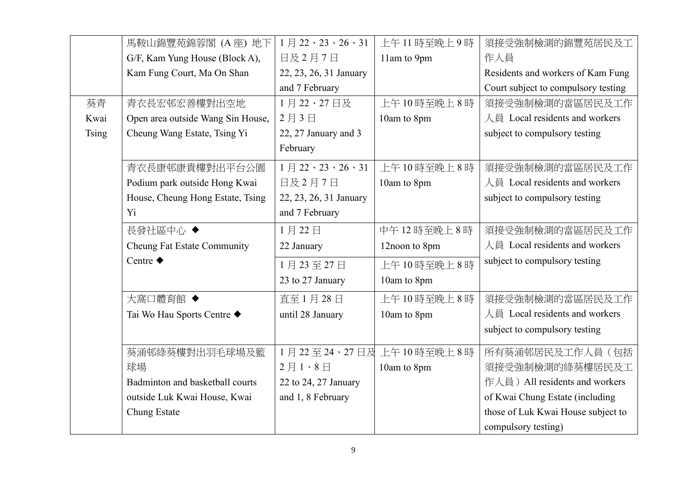|              | 馬鞍山錦豐苑錦蓉閣 (A座) 地下                 | $1 \nparallel 22 \cdot 23 \cdot 26 \cdot 31$ | 上午11時至晚上9時    | 須接受強制檢測的錦豐苑居民及工                     |
|--------------|-----------------------------------|----------------------------------------------|---------------|-------------------------------------|
|              | G/F, Kam Yung House (Block A),    | 日及2月7日                                       | 11am to 9pm   | 作人員                                 |
|              | Kam Fung Court, Ma On Shan        | 22, 23, 26, 31 January                       |               | Residents and workers of Kam Fung   |
|              |                                   | and 7 February                               |               | Court subject to compulsory testing |
| 葵青           | 青衣長宏邨宏善樓對出空地                      | 1月22、27日及                                    | 上午10時至晚上8時    | 須接受強制檢測的當區居民及工作                     |
| Kwai         | Open area outside Wang Sin House, | 2月3日                                         | 10am to 8pm   | 人員 Local residents and workers      |
| <b>Tsing</b> | Cheung Wang Estate, Tsing Yi      | 22, 27 January and 3                         |               | subject to compulsory testing       |
|              |                                   | February                                     |               |                                     |
|              | 青衣長康邨康貴樓對出平台公園                    | 1月22、23、26、31                                | 上午10時至晚上8時    | 須接受強制檢測的當區居民及工作                     |
|              | Podium park outside Hong Kwai     | 日及2月7日                                       | 10am to 8pm   | 人員 Local residents and workers      |
|              | House, Cheung Hong Estate, Tsing  | 22, 23, 26, 31 January                       |               | subject to compulsory testing       |
|              | Y <sub>i</sub>                    | and 7 February                               |               |                                     |
|              | 長發社區中心 ◆                          | 1月22日                                        | 中午12時至晚上8時    | 須接受強制檢測的當區居民及工作                     |
|              | Cheung Fat Estate Community       | 22 January                                   | 12noon to 8pm | 人員 Local residents and workers      |
|              | Centre $\blacklozenge$            | 1月23至27日                                     | 上午10時至晚上8時    | subject to compulsory testing       |
|              |                                   | 23 to 27 January                             | 10am to 8pm   |                                     |
|              | 大窩口體育館◆                           | 直至1月28日                                      | 上午10時至晚上8時    | 須接受強制檢測的當區居民及工作                     |
|              | Tai Wo Hau Sports Centre ◆        | until 28 January                             | 10am to 8pm   | 人員 Local residents and workers      |
|              |                                   |                                              |               | subject to compulsory testing       |
|              | 葵涌邨綠葵樓對出羽毛球場及籃                    | 1月22至24、27日及                                 | 上午10時至晚上8時    | 所有葵涌邨居民及工作人員(包括                     |
|              | 球場                                | 2月1、8日                                       | 10am to 8pm   | 須接受強制檢測的綠葵樓居民及工                     |
|              | Badminton and basketball courts   | 22 to 24, 27 January                         |               | 作人員) All residents and workers      |
|              | outside Luk Kwai House, Kwai      | and 1, 8 February                            |               | of Kwai Chung Estate (including     |
|              | Chung Estate                      |                                              |               | those of Luk Kwai House subject to  |
|              |                                   |                                              |               | compulsory testing)                 |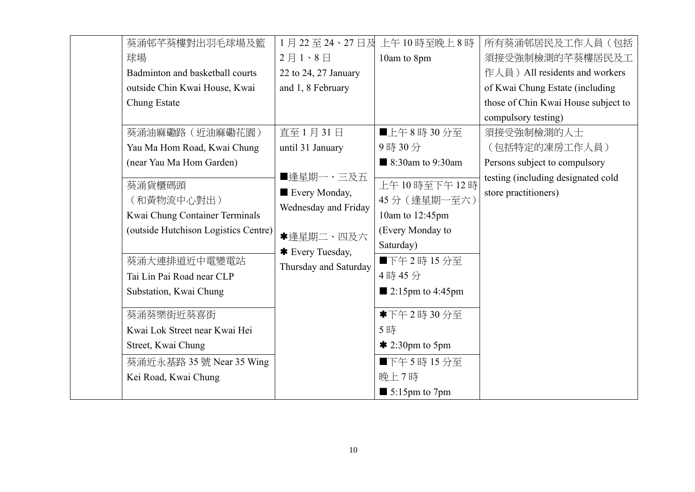| 葵涌邨芊葵樓對出羽毛球場及籃                                                                                                                                                        |                                                                                                              | 1月22至24、27日及上午10時至晚上8時                                                                                                                   | 所有葵涌邨居民及工作人員(包括                                            |
|-----------------------------------------------------------------------------------------------------------------------------------------------------------------------|--------------------------------------------------------------------------------------------------------------|------------------------------------------------------------------------------------------------------------------------------------------|------------------------------------------------------------|
| 球場                                                                                                                                                                    | $2$ 月 $1 \cdot 8$ 日                                                                                          | 10am to 8pm                                                                                                                              | 須接受強制檢測的芊葵樓居民及工                                            |
| Badminton and basketball courts                                                                                                                                       | 22 to 24, 27 January                                                                                         |                                                                                                                                          | 作人員) All residents and workers                             |
| outside Chin Kwai House, Kwai                                                                                                                                         | and 1, 8 February                                                                                            |                                                                                                                                          | of Kwai Chung Estate (including                            |
| Chung Estate                                                                                                                                                          |                                                                                                              |                                                                                                                                          | those of Chin Kwai House subject to                        |
|                                                                                                                                                                       |                                                                                                              |                                                                                                                                          | compulsory testing)                                        |
| 葵涌油麻磡路 (近油麻磡花園)                                                                                                                                                       | 直至1月31日                                                                                                      | ■上午8時30分至                                                                                                                                | 須接受強制檢測的人士                                                 |
| Yau Ma Hom Road, Kwai Chung                                                                                                                                           | until 31 January                                                                                             | 9時30分                                                                                                                                    | (包括特定的凍房工作人員)                                              |
| (near Yau Ma Hom Garden)                                                                                                                                              |                                                                                                              | 8:30am to 9:30am                                                                                                                         | Persons subject to compulsory                              |
| 葵涌貨櫃碼頭<br>(和黃物流中心對出)<br>Kwai Chung Container Terminals<br>(outside Hutchison Logistics Centre)<br>葵涌大連排道近中電變電站<br>Tai Lin Pai Road near CLP<br>Substation, Kwai Chung | ■逢星期一、三及五<br>Every Monday,<br>Wednesday and Friday<br>*逢星期二、四及六<br>* Every Tuesday,<br>Thursday and Saturday | 上午10時至下午12時<br>45分 (逢星期一至六)<br>10am to 12:45pm<br>(Every Monday to<br>Saturday)<br>■下午2時15分至<br>4時45分<br>$\blacksquare$ 2:15pm to 4:45pm | testing (including designated cold<br>store practitioners) |
| 葵涌葵樂街近葵喜街                                                                                                                                                             |                                                                                                              | *下午2時30分至                                                                                                                                |                                                            |
| Kwai Lok Street near Kwai Hei                                                                                                                                         |                                                                                                              | 5時                                                                                                                                       |                                                            |
| Street, Kwai Chung                                                                                                                                                    |                                                                                                              | $*$ 2:30pm to 5pm                                                                                                                        |                                                            |
| 葵涌近永基路 35 號 Near 35 Wing                                                                                                                                              |                                                                                                              | ■下午5時15分至                                                                                                                                |                                                            |
| Kei Road, Kwai Chung                                                                                                                                                  |                                                                                                              | 晚上7時                                                                                                                                     |                                                            |
|                                                                                                                                                                       |                                                                                                              | $\blacksquare$ 5:15pm to 7pm                                                                                                             |                                                            |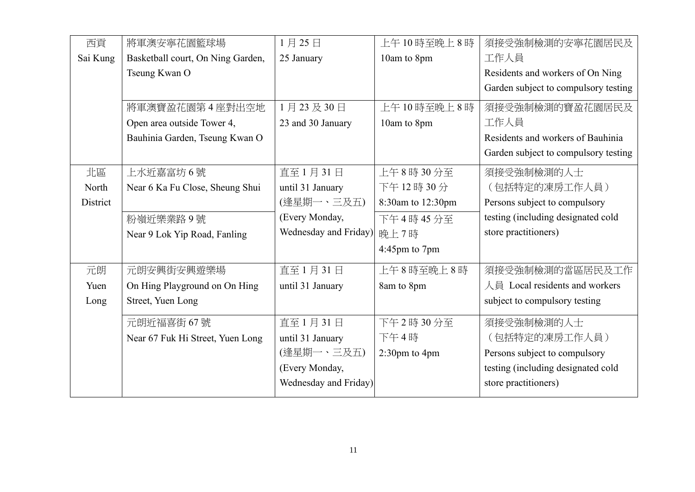| 西貢       | 將軍澳安寧花園籃球場                        | 1月25日                 | 上午10時至晚上8時        | 須接受強制檢測的安寧花園居民及                      |
|----------|-----------------------------------|-----------------------|-------------------|--------------------------------------|
| Sai Kung | Basketball court, On Ning Garden, | 25 January            | 10am to 8pm       | 工作人員                                 |
|          | Tseung Kwan O                     |                       |                   | Residents and workers of On Ning     |
|          |                                   |                       |                   | Garden subject to compulsory testing |
|          | 將軍澳寶盈花園第4座對出空地                    | 1月23及30日              | 上午10時至晚上8時        | 須接受強制檢測的寶盈花園居民及                      |
|          | Open area outside Tower 4,        | 23 and 30 January     | 10am to 8pm       | 工作人員                                 |
|          | Bauhinia Garden, Tseung Kwan O    |                       |                   | Residents and workers of Bauhinia    |
|          |                                   |                       |                   | Garden subject to compulsory testing |
| 北區       | 上水近嘉富坊6號                          | 直至1月31日               | 上午8時30分至          | 須接受強制檢測的人士                           |
| North    | Near 6 Ka Fu Close, Sheung Shui   | until 31 January      | 下午12時30分          | (包括特定的凍房工作人員)                        |
| District |                                   | (逢星期一、三及五)            | 8:30am to 12:30pm | Persons subject to compulsory        |
|          | 粉嶺近樂業路9號                          | (Every Monday,        | 下午4時45分至          | testing (including designated cold   |
|          | Near 9 Lok Yip Road, Fanling      | Wednesday and Friday) | 晚上7時              | store practitioners)                 |
|          |                                   |                       | 4:45pm to 7pm     |                                      |
| 元朗       | 元朗安興街安興遊樂場                        | 直至1月31日               | 上午8時至晚上8時         | 須接受強制檢測的當區居民及工作                      |
| Yuen     | On Hing Playground on On Hing     | until 31 January      | 8am to 8pm        | 人員 Local residents and workers       |
| Long     | Street, Yuen Long                 |                       |                   | subject to compulsory testing        |
|          | 元朗近福喜街 67號                        | 直至1月31日               | 下午2時30分至          | 須接受強制檢測的人士                           |
|          | Near 67 Fuk Hi Street, Yuen Long  | until 31 January      | 下午4時              | (包括特定的凍房工作人員)                        |
|          |                                   | (逢星期一、三及五)            | 2:30pm to 4pm     | Persons subject to compulsory        |
|          |                                   | (Every Monday,        |                   | testing (including designated cold   |
|          |                                   | Wednesday and Friday) |                   | store practitioners)                 |
|          |                                   |                       |                   |                                      |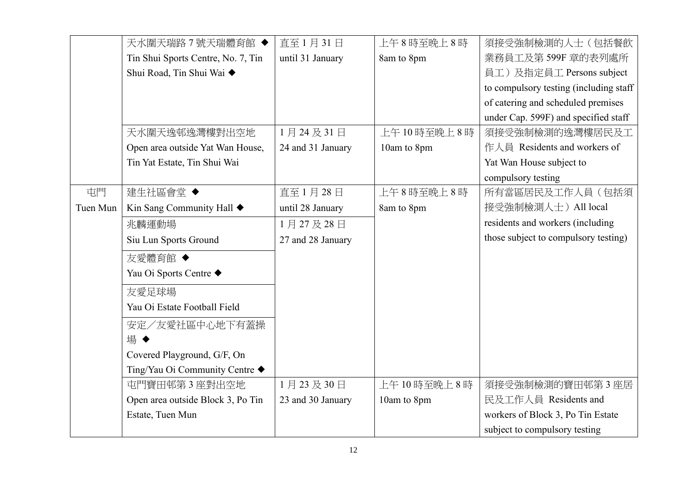|          | 天水圍天瑞路7號天瑞體育館 ◆                         | 直至1月31日           | 上午8時至晚上8時   | 須接受強制檢測的人士(包括餐飲                        |
|----------|-----------------------------------------|-------------------|-------------|----------------------------------------|
|          | Tin Shui Sports Centre, No. 7, Tin      | until 31 January  | 8am to 8pm  | 業務員工及第599F 章的表列處所                      |
|          | Shui Road, Tin Shui Wai ◆               |                   |             | 員工)及指定員工 Persons subject               |
|          |                                         |                   |             | to compulsory testing (including staff |
|          |                                         |                   |             | of catering and scheduled premises     |
|          |                                         |                   |             | under Cap. 599F) and specified staff   |
|          | 天水圍天逸邨逸灣樓對出空地                           | 1月24及31日          | 上午10時至晚上8時  | 須接受強制檢測的逸灣樓居民及工                        |
|          | Open area outside Yat Wan House,        | 24 and 31 January | 10am to 8pm | 作人員 Residents and workers of           |
|          | Tin Yat Estate, Tin Shui Wai            |                   |             | Yat Wan House subject to               |
|          |                                         |                   |             | compulsory testing                     |
| 屯門       | 建生社區會堂◆                                 | 直至1月28日           | 上午8時至晚上8時   | 所有當區居民及工作人員(包括須                        |
| Tuen Mun | Kin Sang Community Hall $\blacklozenge$ | until 28 January  | 8am to 8pm  | 接受強制檢測人士) All local                    |
|          | 兆麟運動場                                   | 1月27及28日          |             | residents and workers (including       |
|          | Siu Lun Sports Ground                   | 27 and 28 January |             | those subject to compulsory testing)   |
|          | 友愛體育館 ◆                                 |                   |             |                                        |
|          | Yau Oi Sports Centre ◆                  |                   |             |                                        |
|          | 友愛足球場                                   |                   |             |                                        |
|          | Yau Oi Estate Football Field            |                   |             |                                        |
|          | 安定/友愛社區中心地下有蓋操                          |                   |             |                                        |
|          | 場◆                                      |                   |             |                                        |
|          | Covered Playground, G/F, On             |                   |             |                                        |
|          | Ting/Yau Oi Community Centre ◆          |                   |             |                                        |
|          | 屯門寶田邨第3座對出空地                            | 1月23及30日          | 上午10時至晚上8時  | 須接受強制檢測的寶田邨第3座居                        |
|          | Open area outside Block 3, Po Tin       | 23 and 30 January | 10am to 8pm | 民及工作人員 Residents and                   |
|          | Estate, Tuen Mun                        |                   |             | workers of Block 3, Po Tin Estate      |
|          |                                         |                   |             | subject to compulsory testing          |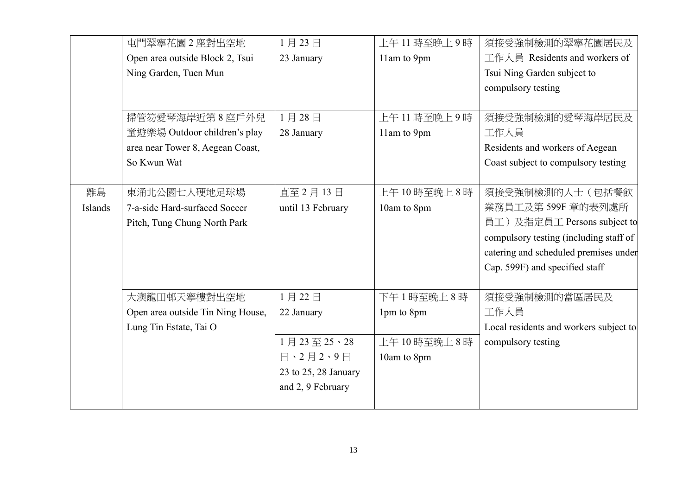|         | 屯門翠寧花園2座對出空地                      | 1月23日                | 上午11 時至晚上9時 | 須接受強制檢測的翠寧花園居民及                        |
|---------|-----------------------------------|----------------------|-------------|----------------------------------------|
|         | Open area outside Block 2, Tsui   | 23 January           | 11am to 9pm | 工作人員 Residents and workers of          |
|         | Ning Garden, Tuen Mun             |                      |             | Tsui Ning Garden subject to            |
|         |                                   |                      |             | compulsory testing                     |
|         |                                   |                      |             |                                        |
|         | 掃管笏愛琴海岸近第8座戶外兒                    | 1月28日                | 上午11時至晚上9時  | 須接受強制檢測的愛琴海岸居民及                        |
|         | 童遊樂場 Outdoor children's play      | 28 January           | 11am to 9pm | 工作人員                                   |
|         | area near Tower 8, Aegean Coast,  |                      |             | Residents and workers of Aegean        |
|         | So Kwun Wat                       |                      |             | Coast subject to compulsory testing    |
|         |                                   |                      |             |                                        |
| 離島      | 東涌北公園七人硬地足球場                      | 直至 2月13日             | 上午10時至晚上8時  | 須接受強制檢測的人士(包括餐飲                        |
| Islands | 7-a-side Hard-surfaced Soccer     | until 13 February    | 10am to 8pm | 業務員工及第599F 章的表列處所                      |
|         | Pitch, Tung Chung North Park      |                      |             | 員工)及指定員工 Persons subject to            |
|         |                                   |                      |             | compulsory testing (including staff of |
|         |                                   |                      |             | catering and scheduled premises under  |
|         |                                   |                      |             | Cap. 599F) and specified staff         |
|         |                                   |                      |             |                                        |
|         | 大澳龍田邨天寧樓對出空地                      | 1月22日                | 下午1時至晚上8時   | 須接受強制檢測的當區居民及                          |
|         | Open area outside Tin Ning House, | 22 January           | 1pm to 8pm  | 工作人員                                   |
|         | Lung Tin Estate, Tai O            |                      |             | Local residents and workers subject to |
|         |                                   | 1月23至25、28           | 上午10時至晚上8時  | compulsory testing                     |
|         |                                   | 日、2月2、9日             | 10am to 8pm |                                        |
|         |                                   | 23 to 25, 28 January |             |                                        |
|         |                                   | and 2, 9 February    |             |                                        |
|         |                                   |                      |             |                                        |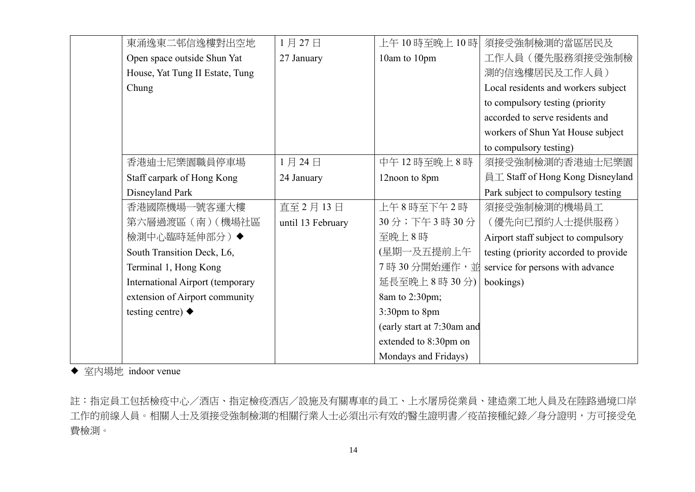| 東涌逸東二邨信逸樓對出空地                    | 1月27日             | 上午 10 時至晚上 10 時            | 須接受強制檢測的當區居民及                         |
|----------------------------------|-------------------|----------------------------|---------------------------------------|
| Open space outside Shun Yat      | 27 January        | 10am to 10pm               | 工作人員(優先服務須接受強制檢                       |
| House, Yat Tung II Estate, Tung  |                   |                            | 測的信逸樓居民及工作人員)                         |
| Chung                            |                   |                            | Local residents and workers subject   |
|                                  |                   |                            | to compulsory testing (priority       |
|                                  |                   |                            | accorded to serve residents and       |
|                                  |                   |                            | workers of Shun Yat House subject     |
|                                  |                   |                            | to compulsory testing)                |
| 香港迪士尼樂園職員停車場                     | 1月24日             | 中午12時至晚上8時                 | 須接受強制檢測的香港迪士尼樂園                       |
| Staff carpark of Hong Kong       | 24 January        | 12noon to 8pm              | 員工 Staff of Hong Kong Disneyland      |
| Disneyland Park                  |                   |                            | Park subject to compulsory testing    |
| 香港國際機場一號客運大樓                     | 直至 2月13日          | 上午8時至下午2時                  | 須接受強制檢測的機場員工                          |
| 第六層過渡區 (南) (機場社區                 | until 13 February | 30分;下午3時30分                | (優先向已預約人士提供服務)                        |
| 檢測中心臨時延伸部分)◆                     |                   | 至晚上8時                      | Airport staff subject to compulsory   |
| South Transition Deck, L6,       |                   | (星期一及五提前上午                 | testing (priority accorded to provide |
| Terminal 1, Hong Kong            |                   | 7時30分開始運作,並                | service for persons with advance      |
| International Airport (temporary |                   | 延長至晚上8時30分)                | bookings)                             |
| extension of Airport community   |                   | 8am to 2:30pm;             |                                       |
| testing centre) $\blacklozenge$  |                   | 3:30pm to 8pm              |                                       |
|                                  |                   | (early start at 7:30am and |                                       |
|                                  |                   | extended to 8:30pm on      |                                       |
|                                  |                   | Mondays and Fridays)       |                                       |

◆ 室内場地 indoor venue

註:指定員工包括檢疫中心/酒店、指定檢疫酒店/設施及有關專車的員工、上水屠房從業員、建造業工地人員及在陸路過境口岸 工作的前線人員。相關人士及須接受強制檢測的相關行業人士必須出示有效的醫生證明書/疫苗接種紀錄/身分證明,方可接受免 費檢測。